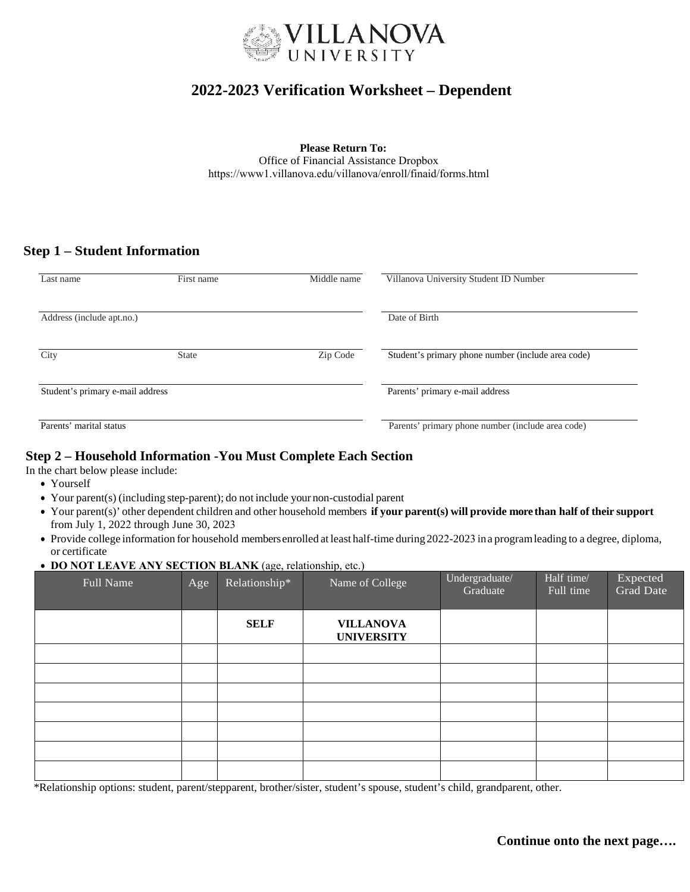

# **2022-20***2***3 Verification Worksheet – Dependent**

**Please Return To:** Office of Financial Assistance Dropbox <https://www1.villanova.edu/villanova/enroll/finaid/forms.html>

## **Step 1 – Student Information**

| Last name                        | First name   | Middle name                     | Villanova University Student ID Number             |  |  |
|----------------------------------|--------------|---------------------------------|----------------------------------------------------|--|--|
| Address (include apt.no.)        |              | Date of Birth                   |                                                    |  |  |
| City                             | <b>State</b> | Zip Code                        | Student's primary phone number (include area code) |  |  |
| Student's primary e-mail address |              | Parents' primary e-mail address |                                                    |  |  |
| Parents' marital status          |              |                                 | Parents' primary phone number (include area code)  |  |  |

## **Step 2 – Household Information -You Must Complete Each Section**

In the chart below please include:

- Yourself
- Your parent(s) (including step-parent); do not include your non-custodial parent
- Your parent(s)' other dependent children and other household members **if your parent(s) will provide more than half of their support** from July 1, 2022 through June 30, 2023
- Provide college information for household membersenrolled at least half-time during 2022-2023 ina programleading to a degree, diploma, or certificate

#### • **DO NOT LEAVE ANY SECTION BLANK** (age, relationship, etc.)

| Full Name | Age | Relationship* | Name of College                       | Undergraduate/<br>Graduate | Half time/<br>Full time | Expected<br>Grad Date |
|-----------|-----|---------------|---------------------------------------|----------------------------|-------------------------|-----------------------|
|           |     | <b>SELF</b>   | <b>VILLANOVA</b><br><b>UNIVERSITY</b> |                            |                         |                       |
|           |     |               |                                       |                            |                         |                       |
|           |     |               |                                       |                            |                         |                       |
|           |     |               |                                       |                            |                         |                       |
|           |     |               |                                       |                            |                         |                       |
|           |     |               |                                       |                            |                         |                       |
|           |     |               |                                       |                            |                         |                       |
|           |     |               |                                       |                            |                         |                       |

\*Relationship options: student, parent/stepparent, brother/sister, student's spouse, student's child, grandparent, other.